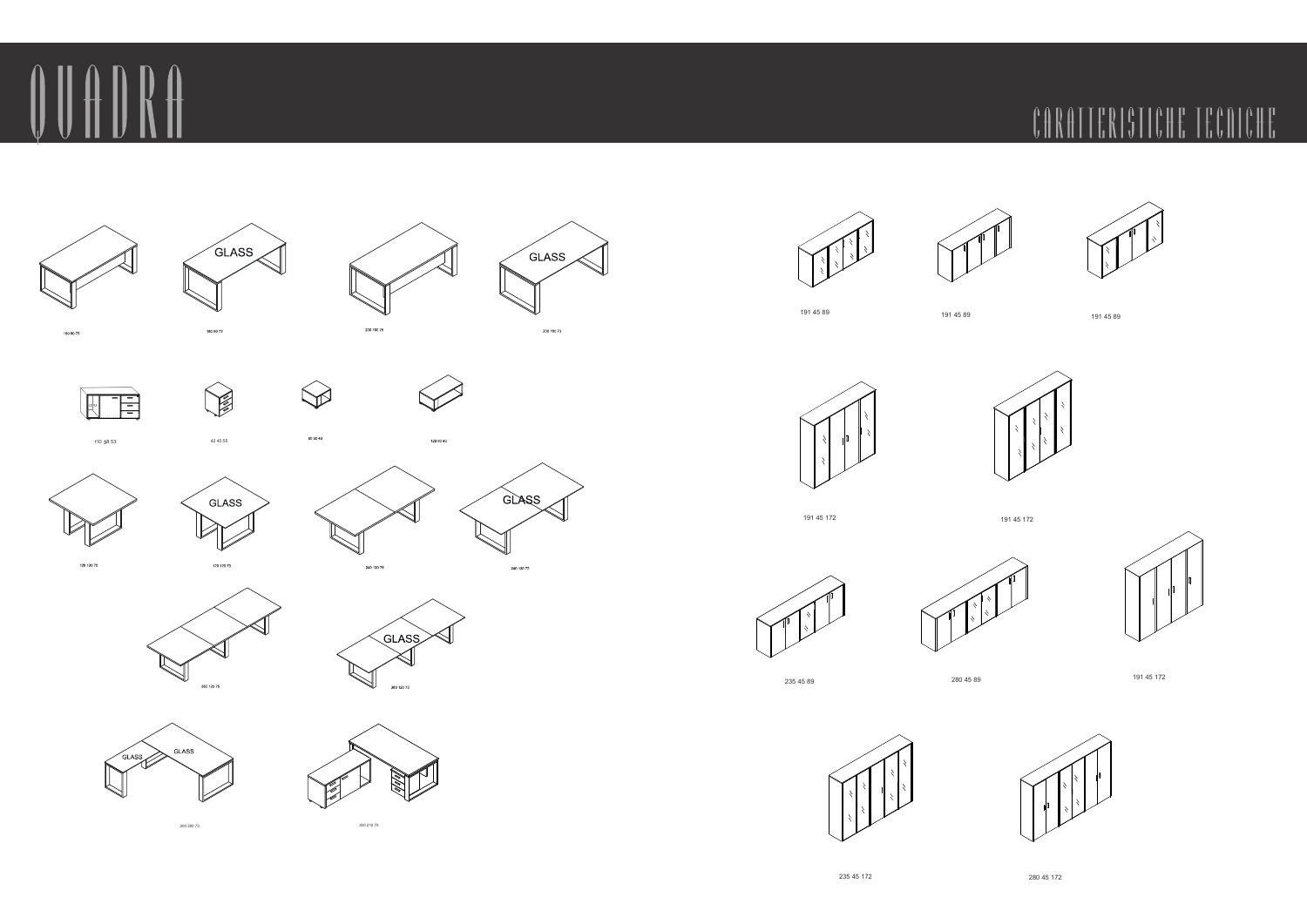



















180 90 73





GLASS



120.120.25





120 80 43







200 200 73 200 210 75



191 45 89 191 45 89 191 45 89













235 45 89 280 45 89 191 45 172